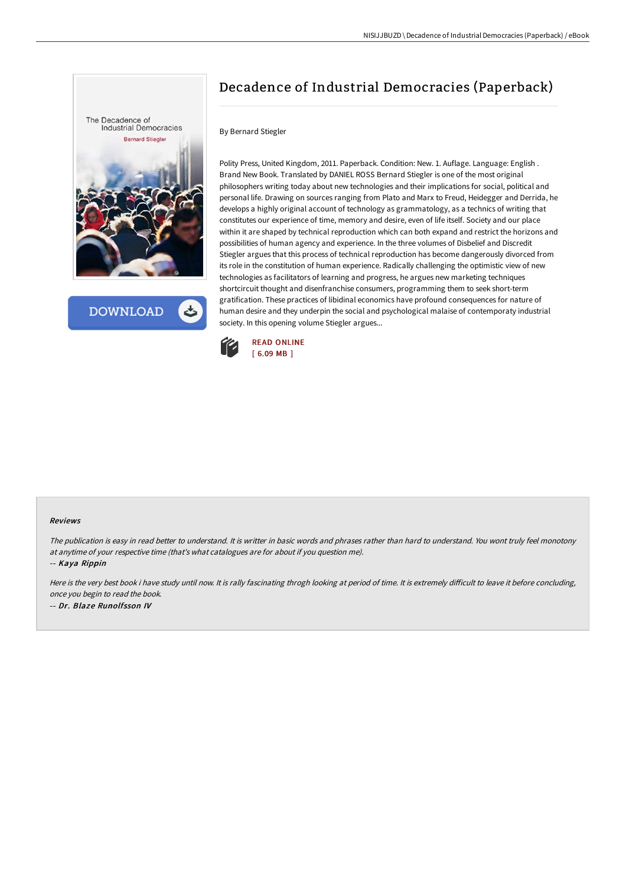

**DOWNLOAD** 

## Decadence of Industrial Democracies (Paperback)

#### By Bernard Stiegler

Polity Press, United Kingdom, 2011. Paperback. Condition: New. 1. Auflage. Language: English . Brand New Book. Translated by DANIEL ROSS Bernard Stiegler is one of the most original philosophers writing today about new technologies and their implications for social, political and personal life. Drawing on sources ranging from Plato and Marx to Freud, Heidegger and Derrida, he develops a highly original account of technology as grammatology, as a technics of writing that constitutes our experience of time, memory and desire, even of life itself. Society and our place within it are shaped by technical reproduction which can both expand and restrict the horizons and possibilities of human agency and experience. In the three volumes of Disbelief and Discredit Stiegler argues that this process of technical reproduction has become dangerously divorced from its role in the constitution of human experience. Radically challenging the optimistic view of new technologies as facilitators of learning and progress, he argues new marketing techniques shortcircuit thought and disenfranchise consumers, programming them to seek short-term gratification. These practices of libidinal economics have profound consequences for nature of human desire and they underpin the social and psychological malaise of contemporaty industrial society. In this opening volume Stiegler argues...



#### Reviews

The publication is easy in read better to understand. It is writter in basic words and phrases rather than hard to understand. You wont truly feel monotony at anytime of your respective time (that's what catalogues are for about if you question me).

-- Kaya Rippin

Here is the very best book i have study until now. It is rally fascinating throgh looking at period of time. It is extremely difficult to leave it before concluding, once you begin to read the book. -- Dr. Blaze Runolfsson IV